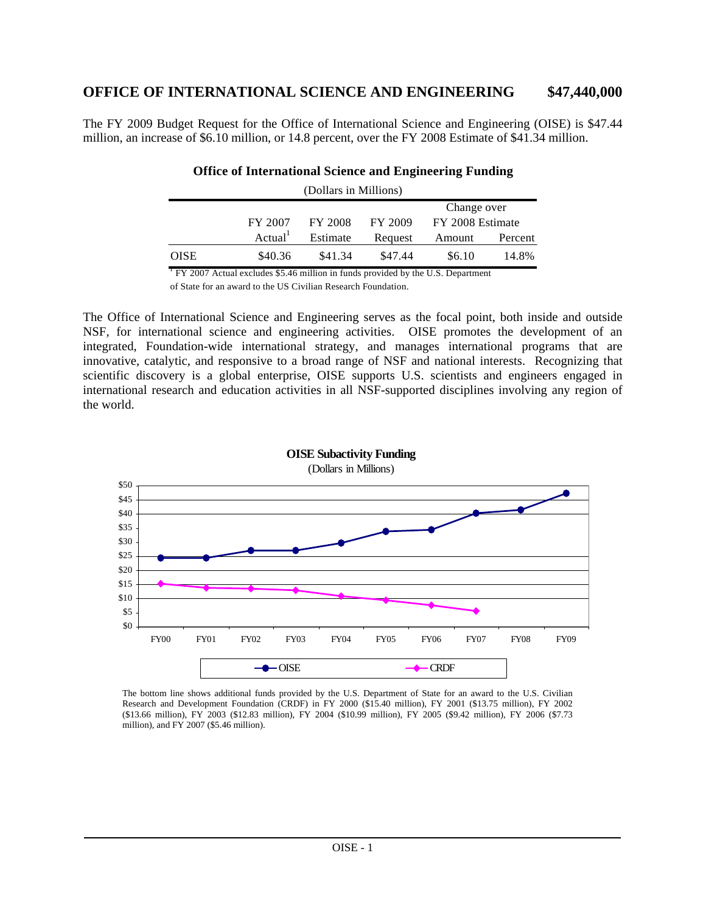# **OFFICE OF INTERNATIONAL SCIENCE AND ENGINEERING \$47,440,000**

The FY 2009 Budget Request for the Office of International Science and Engineering (OISE) is \$47.44 million, an increase of \$6.10 million, or 14.8 percent, over the FY 2008 Estimate of \$41.34 million.

| (Dollars in Millions) |                     |          |         |                  |         |  |
|-----------------------|---------------------|----------|---------|------------------|---------|--|
|                       |                     |          |         | Change over      |         |  |
|                       | FY 2007             | FY 2008  | FY 2009 | FY 2008 Estimate |         |  |
|                       | Actual <sup>1</sup> | Estimate | Request | Amount           | Percent |  |
| <b>OISE</b>           | \$40.36             | \$41.34  | \$47.44 | \$6.10           | 14.8%   |  |

#### **Office of International Science and Engineering Funding**

<sup>1</sup> FY 2007 Actual excludes \$5.46 million in funds provided by the U.S. Department

of State for an award to the US Civilian Research Foundation.

The Office of International Science and Engineering serves as the focal point, both inside and outside NSF, for international science and engineering activities. OISE promotes the development of an integrated, Foundation-wide international strategy, and manages international programs that are innovative, catalytic, and responsive to a broad range of NSF and national interests. Recognizing that scientific discovery is a global enterprise, OISE supports U.S. scientists and engineers engaged in international research and education activities in all NSF-supported disciplines involving any region of the world.





The bottom line shows additional funds provided by the U.S. Department of State for an award to the U.S. Civilian Research and Development Foundation (CRDF) in FY 2000 (\$15.40 million), FY 2001 (\$13.75 million), FY 2002 (\$13.66 million), FY 2003 (\$12.83 million), FY 2004 (\$10.99 million), FY 2005 (\$9.42 million), FY 2006 (\$7.73 million), and FY 2007 (\$5.46 million).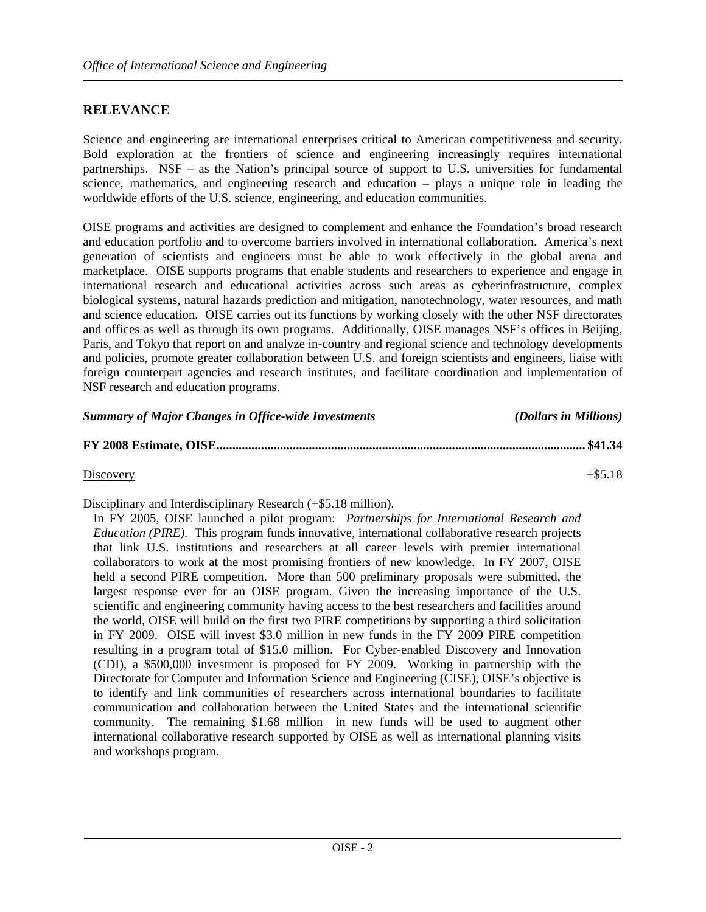### **RELEVANCE**

Science and engineering are international enterprises critical to American competitiveness and security. Bold exploration at the frontiers of science and engineering increasingly requires international partnerships. NSF – as the Nation's principal source of support to U.S. universities for fundamental science, mathematics, and engineering research and education – plays a unique role in leading the worldwide efforts of the U.S. science, engineering, and education communities.

OISE programs and activities are designed to complement and enhance the Foundation's broad research and education portfolio and to overcome barriers involved in international collaboration. America's next generation of scientists and engineers must be able to work effectively in the global arena and marketplace. OISE supports programs that enable students and researchers to experience and engage in international research and educational activities across such areas as cyberinfrastructure, complex biological systems, natural hazards prediction and mitigation, nanotechnology, water resources, and math and science education. OISE carries out its functions by working closely with the other NSF directorates and offices as well as through its own programs. Additionally, OISE manages NSF's offices in Beijing, Paris, and Tokyo that report on and analyze in-country and regional science and technology developments and policies, promote greater collaboration between U.S. and foreign scientists and engineers, liaise with foreign counterpart agencies and research institutes, and facilitate coordination and implementation of NSF research and education programs.

| <b>Summary of Major Changes in Office-wide Investments</b> | (Dollars in Millions) |
|------------------------------------------------------------|-----------------------|
|                                                            |                       |

#### $Discovery + $5.18$

Disciplinary and Interdisciplinary Research (+\$5.18 million).

In FY 2005, OISE launched a pilot program: *Partnerships for International Research and Education (PIRE).* This program funds innovative, international collaborative research projects that link U.S. institutions and researchers at all career levels with premier international collaborators to work at the most promising frontiers of new knowledge. In FY 2007, OISE held a second PIRE competition. More than 500 preliminary proposals were submitted, the largest response ever for an OISE program. Given the increasing importance of the U.S. scientific and engineering community having access to the best researchers and facilities around the world, OISE will build on the first two PIRE competitions by supporting a third solicitation in FY 2009. OISE will invest \$3.0 million in new funds in the FY 2009 PIRE competition resulting in a program total of \$15.0 million. For Cyber-enabled Discovery and Innovation (CDI), a \$500,000 investment is proposed for FY 2009. Working in partnership with the Directorate for Computer and Information Science and Engineering (CISE), OISE's objective is to identify and link communities of researchers across international boundaries to facilitate communication and collaboration between the United States and the international scientific community. The remaining \$1.68 million in new funds will be used to augment other international collaborative research supported by OISE as well as international planning visits and workshops program.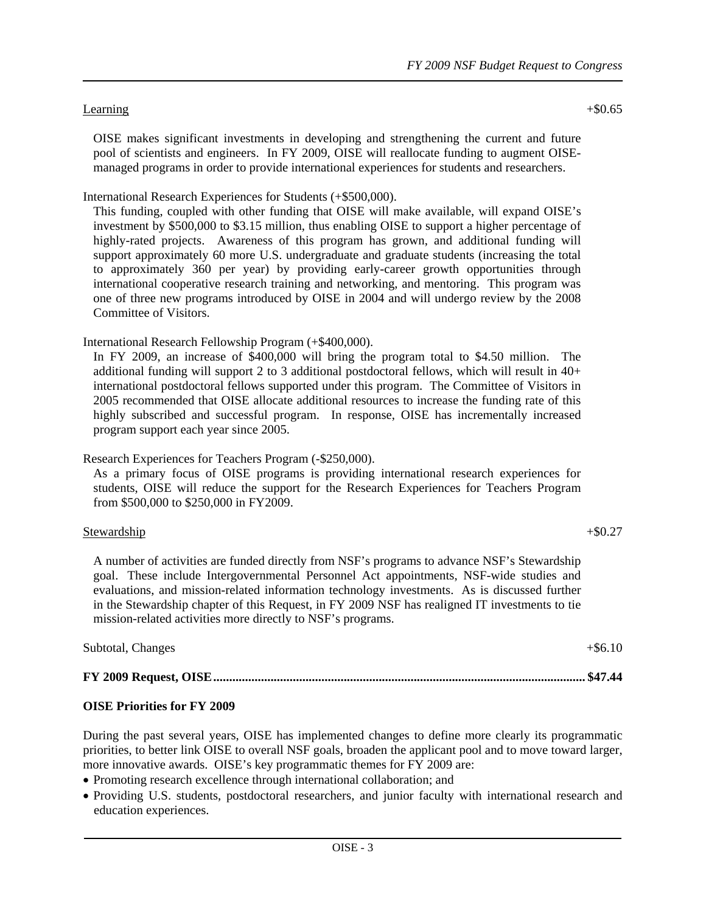#### $Learning + \$0.65$

OISE makes significant investments in developing and strengthening the current and future pool of scientists and engineers. In FY 2009, OISE will reallocate funding to augment OISEmanaged programs in order to provide international experiences for students and researchers.

International Research Experiences for Students (+\$500,000).

This funding, coupled with other funding that OISE will make available, will expand OISE's investment by \$500,000 to \$3.15 million, thus enabling OISE to support a higher percentage of highly-rated projects. Awareness of this program has grown, and additional funding will support approximately 60 more U.S. undergraduate and graduate students (increasing the total to approximately 360 per year) by providing early-career growth opportunities through international cooperative research training and networking, and mentoring. This program was one of three new programs introduced by OISE in 2004 and will undergo review by the 2008 Committee of Visitors.

International Research Fellowship Program (+\$400,000).

In FY 2009, an increase of \$400,000 will bring the program total to \$4.50 million. The additional funding will support 2 to 3 additional postdoctoral fellows, which will result in 40+ international postdoctoral fellows supported under this program. The Committee of Visitors in 2005 recommended that OISE allocate additional resources to increase the funding rate of this highly subscribed and successful program. In response, OISE has incrementally increased program support each year since 2005.

Research Experiences for Teachers Program (-\$250,000).

As a primary focus of OISE programs is providing international research experiences for students, OISE will reduce the support for the Research Experiences for Teachers Program from \$500,000 to \$250,000 in FY2009.

### Stewardship  $+$ \$0.27

A number of activities are funded directly from NSF's programs to advance NSF's Stewardship goal. These include Intergovernmental Personnel Act appointments, NSF-wide studies and evaluations, and mission-related information technology investments. As is discussed further in the Stewardship chapter of this Request, in FY 2009 NSF has realigned IT investments to tie mission-related activities more directly to NSF's programs.

Subtotal, Changes  $+$ \$6.10

**FY 2009 Request, OISE..................................................................................................................... \$47.44** 

# **OISE Priorities for FY 2009**

During the past several years, OISE has implemented changes to define more clearly its programmatic priorities, to better link OISE to overall NSF goals, broaden the applicant pool and to move toward larger, more innovative awards. OISE's key programmatic themes for FY 2009 are:

- Promoting research excellence through international collaboration; and
- Providing U.S. students, postdoctoral researchers, and junior faculty with international research and education experiences.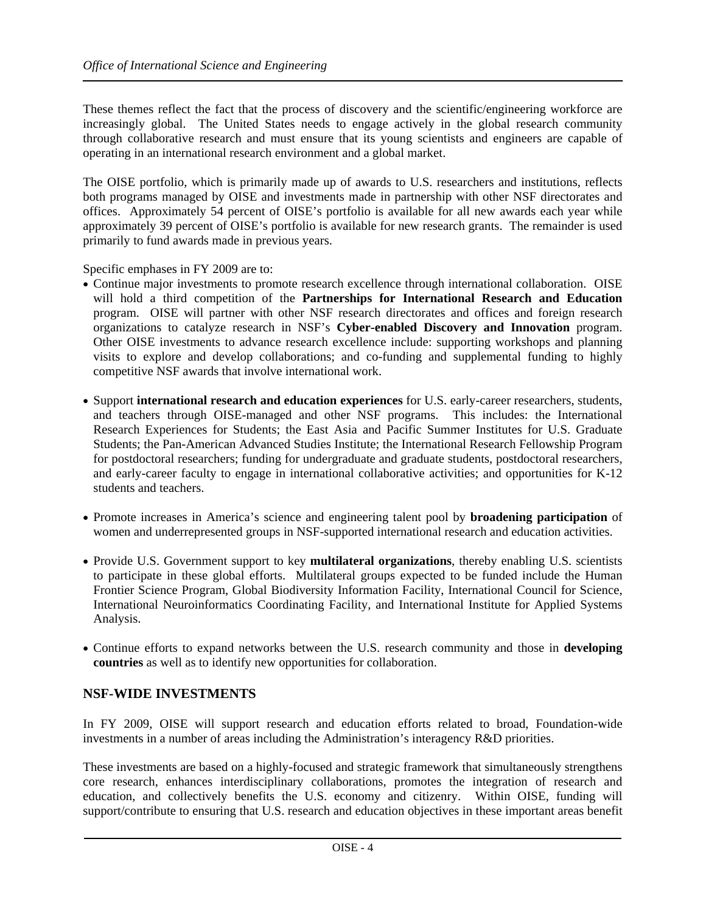These themes reflect the fact that the process of discovery and the scientific/engineering workforce are increasingly global. The United States needs to engage actively in the global research community through collaborative research and must ensure that its young scientists and engineers are capable of operating in an international research environment and a global market.

The OISE portfolio, which is primarily made up of awards to U.S. researchers and institutions, reflects both programs managed by OISE and investments made in partnership with other NSF directorates and offices. Approximately 54 percent of OISE's portfolio is available for all new awards each year while approximately 39 percent of OISE's portfolio is available for new research grants. The remainder is used primarily to fund awards made in previous years.

Specific emphases in FY 2009 are to:

- Continue major investments to promote research excellence through international collaboration. OISE will hold a third competition of the **Partnerships for International Research and Education**  program. OISE will partner with other NSF research directorates and offices and foreign research organizations to catalyze research in NSF's **Cyber-enabled Discovery and Innovation** program. Other OISE investments to advance research excellence include: supporting workshops and planning visits to explore and develop collaborations; and co-funding and supplemental funding to highly competitive NSF awards that involve international work.
- Support **international research and education experiences** for U.S. early-career researchers, students, and teachers through OISE-managed and other NSF programs. This includes: the International Research Experiences for Students; the East Asia and Pacific Summer Institutes for U.S. Graduate Students; the Pan-American Advanced Studies Institute; the International Research Fellowship Program for postdoctoral researchers; funding for undergraduate and graduate students, postdoctoral researchers, and early-career faculty to engage in international collaborative activities; and opportunities for K-12 students and teachers.
- Promote increases in America's science and engineering talent pool by **broadening participation** of women and underrepresented groups in NSF-supported international research and education activities.
- Provide U.S. Government support to key **multilateral organizations**, thereby enabling U.S. scientists to participate in these global efforts. Multilateral groups expected to be funded include the Human Frontier Science Program, Global Biodiversity Information Facility, International Council for Science, International Neuroinformatics Coordinating Facility, and International Institute for Applied Systems Analysis.
- Continue efforts to expand networks between the U.S. research community and those in **developing countries** as well as to identify new opportunities for collaboration.

### **NSF-WIDE INVESTMENTS**

In FY 2009, OISE will support research and education efforts related to broad, Foundation-wide investments in a number of areas including the Administration's interagency R&D priorities.

These investments are based on a highly-focused and strategic framework that simultaneously strengthens core research, enhances interdisciplinary collaborations, promotes the integration of research and education, and collectively benefits the U.S. economy and citizenry. Within OISE, funding will support/contribute to ensuring that U.S. research and education objectives in these important areas benefit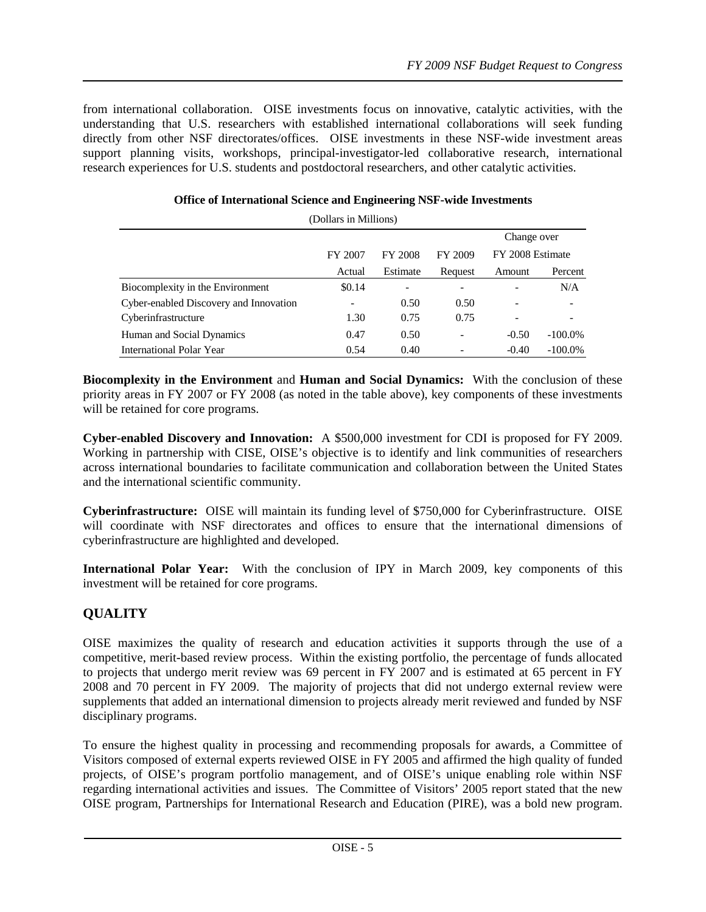from international collaboration. OISE investments focus on innovative, catalytic activities, with the understanding that U.S. researchers with established international collaborations will seek funding directly from other NSF directorates/offices. OISE investments in these NSF-wide investment areas support planning visits, workshops, principal-investigator-led collaborative research, international research experiences for U.S. students and postdoctoral researchers, and other catalytic activities.

| (Dollars in Millions)                  |         |          |                          |                                 |            |
|----------------------------------------|---------|----------|--------------------------|---------------------------------|------------|
|                                        |         |          |                          | Change over<br>FY 2008 Estimate |            |
|                                        | FY 2007 | FY 2008  | FY 2009                  |                                 |            |
|                                        | Actual  | Estimate | Request                  | Amount                          | Percent    |
| Biocomplexity in the Environment       | \$0.14  |          |                          |                                 | N/A        |
| Cyber-enabled Discovery and Innovation |         | 0.50     | 0.50                     | -                               |            |
| Cyberinfrastructure                    | 1.30    | 0.75     | 0.75                     | -                               |            |
| Human and Social Dynamics              | 0.47    | 0.50     | $\overline{\phantom{a}}$ | $-0.50$                         | $-100.0\%$ |
| International Polar Year               | 0.54    | 0.40     |                          | $-0.40$                         | $-100.0\%$ |

### **Office of International Science and Engineering NSF-wide Investments**

**Biocomplexity in the Environment** and **Human and Social Dynamics:** With the conclusion of these priority areas in FY 2007 or FY 2008 (as noted in the table above), key components of these investments will be retained for core programs.

**Cyber-enabled Discovery and Innovation:** A \$500,000 investment for CDI is proposed for FY 2009. Working in partnership with CISE, OISE's objective is to identify and link communities of researchers across international boundaries to facilitate communication and collaboration between the United States and the international scientific community.

**Cyberinfrastructure:** OISE will maintain its funding level of \$750,000 for Cyberinfrastructure. OISE will coordinate with NSF directorates and offices to ensure that the international dimensions of cyberinfrastructure are highlighted and developed.

**International Polar Year:** With the conclusion of IPY in March 2009, key components of this investment will be retained for core programs.

# **QUALITY**

OISE maximizes the quality of research and education activities it supports through the use of a competitive, merit-based review process. Within the existing portfolio, the percentage of funds allocated to projects that undergo merit review was 69 percent in FY 2007 and is estimated at 65 percent in FY 2008 and 70 percent in FY 2009. The majority of projects that did not undergo external review were supplements that added an international dimension to projects already merit reviewed and funded by NSF disciplinary programs.

To ensure the highest quality in processing and recommending proposals for awards, a Committee of Visitors composed of external experts reviewed OISE in FY 2005 and affirmed the high quality of funded projects, of OISE's program portfolio management, and of OISE's unique enabling role within NSF regarding international activities and issues. The Committee of Visitors' 2005 report stated that the new OISE program, Partnerships for International Research and Education (PIRE), was a bold new program.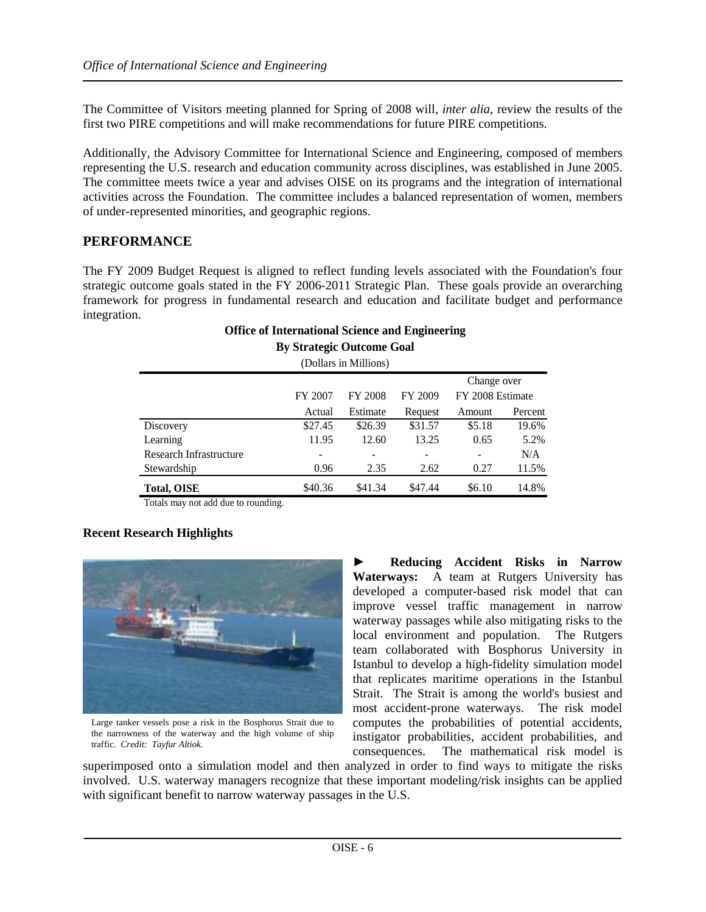The Committee of Visitors meeting planned for Spring of 2008 will, *inter alia*, review the results of the first two PIRE competitions and will make recommendations for future PIRE competitions.

Additionally, the Advisory Committee for International Science and Engineering, composed of members representing the U.S. research and education community across disciplines, was established in June 2005. The committee meets twice a year and advises OISE on its programs and the integration of international activities across the Foundation. The committee includes a balanced representation of women, members of under-represented minorities, and geographic regions.

# **PERFORMANCE**

The FY 2009 Budget Request is aligned to reflect funding levels associated with the Foundation's four strategic outcome goals stated in the FY 2006-2011 Strategic Plan. These goals provide an overarching framework for progress in fundamental research and education and facilitate budget and performance integration.

| <b>Office of International Science and Engineering</b> |         |          |         |                  |         |  |
|--------------------------------------------------------|---------|----------|---------|------------------|---------|--|
| <b>By Strategic Outcome Goal</b>                       |         |          |         |                  |         |  |
| (Dollars in Millions)                                  |         |          |         |                  |         |  |
|                                                        |         |          |         | Change over      |         |  |
|                                                        | FY 2007 | FY 2008  | FY 2009 | FY 2008 Estimate |         |  |
|                                                        | Actual  | Estimate | Request | Amount           | Percent |  |
| Discovery                                              | \$27.45 | \$26.39  | \$31.57 | \$5.18           | 19.6%   |  |
| Learning                                               | 11.95   | 12.60    | 13.25   | 0.65             | 5.2%    |  |
| Research Infrastructure                                |         | ٠        |         |                  | N/A     |  |
| Stewardship                                            | 0.96    | 2.35     | 2.62    | 0.27             | 11.5%   |  |
| <b>Total, OISE</b>                                     | \$40.36 | \$41.34  | \$47.44 | \$6.10           | 14.8%   |  |

Totals may not add due to rounding.

### **Recent Research Highlights**



Large tanker vessels pose a risk in the Bosphorus Strait due to the narrowness of the waterway and the high volume of ship traffic. *Credit: Tayfur Altiok.*

**► Reducing Accident Risks in Narrow Waterways:** A team at Rutgers University has developed a computer-based risk model that can improve vessel traffic management in narrow waterway passages while also mitigating risks to the local environment and population. The Rutgers team collaborated with Bosphorus University in Istanbul to develop a high-fidelity simulation model that replicates maritime operations in the Istanbul Strait. The Strait is among the world's busiest and most accident-prone waterways. The risk model computes the probabilities of potential accidents, instigator probabilities, accident probabilities, and consequences. The mathematical risk model is

superimposed onto a simulation model and then analyzed in order to find ways to mitigate the risks involved. U.S. waterway managers recognize that these important modeling/risk insights can be applied with significant benefit to narrow waterway passages in the U.S.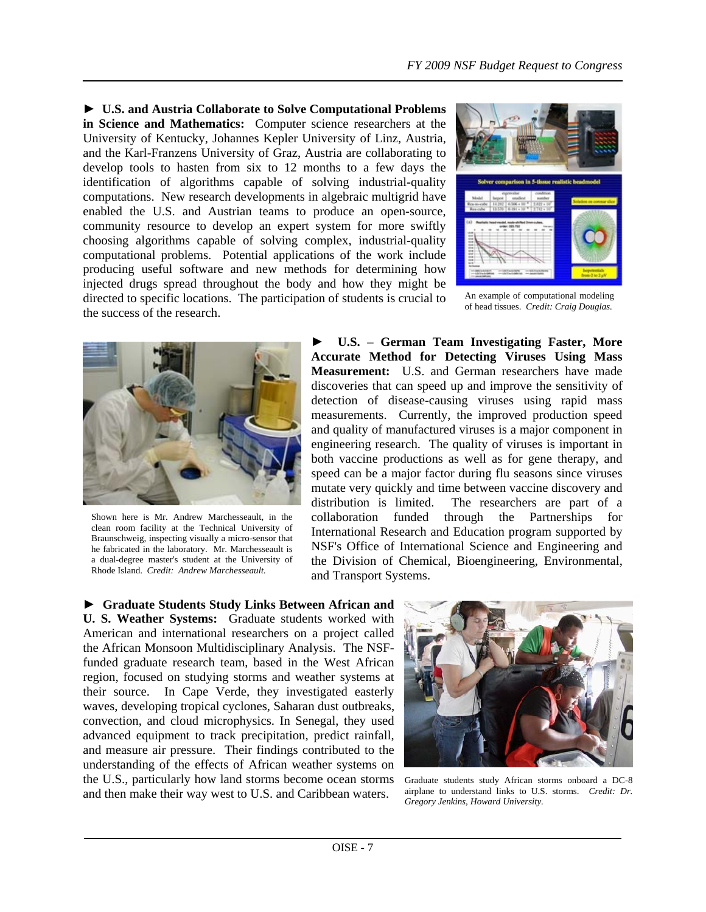**► U.S. and Austria Collaborate to Solve Computational Problems in Science and Mathematics:** Computer science researchers at the University of Kentucky, Johannes Kepler University of Linz, Austria, and the Karl-Franzens University of Graz, Austria are collaborating to develop tools to hasten from six to 12 months to a few days the identification of algorithms capable of solving industrial-quality computations. New research developments in algebraic multigrid have enabled the U.S. and Austrian teams to produce an open-source, community resource to develop an expert system for more swiftly choosing algorithms capable of solving complex, industrial-quality computational problems. Potential applications of the work include producing useful software and new methods for determining how injected drugs spread throughout the body and how they might be directed to specific locations. The participation of students is crucial to the success of the research.



An example of computational modeling of head tissues. *Credit: Craig Douglas.*



Shown here is Mr. Andrew Marchesseault, in the clean room facility at the Technical University of Braunschweig, inspecting visually a micro-sensor that he fabricated in the laboratory. Mr. Marchesseault is a dual-degree master's student at the University of Rhode Island. *Credit: Andrew Marchesseault.* 

**► U.S.** – **German Team Investigating Faster, More Accurate Method for Detecting Viruses Using Mass Measurement:** U.S. and German researchers have made discoveries that can speed up and improve the sensitivity of detection of disease-causing viruses using rapid mass measurements. Currently, the improved production speed and quality of manufactured viruses is a major component in engineering research. The quality of viruses is important in both vaccine productions as well as for gene therapy, and speed can be a major factor during flu seasons since viruses mutate very quickly and time between vaccine discovery and distribution is limited. The researchers are part of a collaboration funded through the Partnerships for International Research and Education program supported by NSF's Office of International Science and Engineering and the Division of Chemical, Bioengineering, Environmental, and Transport Systems.

**► Graduate Students Study Links Between African and U. S. Weather Systems:** Graduate students worked with American and international researchers on a project called the African Monsoon Multidisciplinary Analysis. The NSFfunded graduate research team, based in the West African region, focused on studying storms and weather systems at their source. In Cape Verde, they investigated easterly waves, developing tropical cyclones, Saharan dust outbreaks, convection, and cloud microphysics. In Senegal, they used advanced equipment to track precipitation, predict rainfall, and measure air pressure. Their findings contributed to the understanding of the effects of African weather systems on the U.S., particularly how land storms become ocean storms and then make their way west to U.S. and Caribbean waters.



Graduate students study African storms onboard a DC-8 airplane to understand links to U.S. storms. *Credit: Dr. Gregory Jenkins, Howard University.*